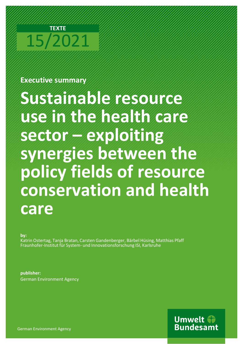# **TEXTE** 15/2021

# **Executive summary**

**Sustainable resource use in the health care sector – exploiting synergies between the policy fields of resource conservation and health care** 

**by:**

Katrin Ostertag, Tanja Bratan, Carsten Gandenberger, Bärbel Hüsing, Matthias Pfaff Fraunhofer-Institut für System- und Innovationsforschung ISI, Karlsruhe

**publisher:**  German Environment Agency

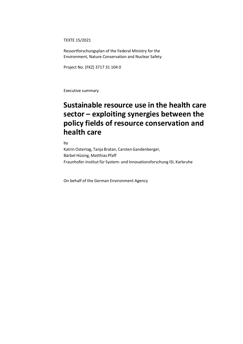TEXTE 15/2021

Ressortforschungsplan of the Federal Ministry for the Environment, Nature Conservation and Nuclear Safety

Project No. (FKZ) 3717 31 104 0

Executive summary

# **Sustainable resource use in the health care sector – exploiting synergies between the policy fields of resource conservation and health care**

by

Katrin Ostertag, Tanja Bratan, Carsten Gandenberger, Bärbel Hüsing, Matthias Pfaff Fraunhofer-Institut für System- und Innovationsforschung ISI, Karlsruhe

On behalf of the German Environment Agency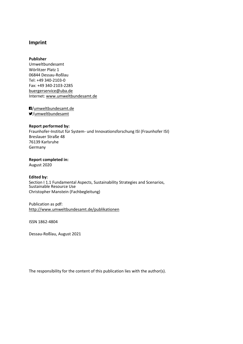# **Imprint**

#### **Publisher**

Umweltbundesamt Wörlitzer Platz 1 06844 Dessau-Roßlau Tel: +49 340-2103-0 Fax: +49 340-2103-2285 [buergerservice@uba.de](mailto:buergerservice@uba.de) Internet: [www.umweltbundesamt.de](file://///host2/Daten/.kunde/uba.de/UBA_Word_Anpassung/Vorlagen_englisch/www.umweltbundesamt.de)

/umweltbundesamt.de /umweltbundesamt

#### **Report performed by:**

Fraunhofer-Institut für System- und Innovationsforschung ISI (Fraunhofer ISI) Breslauer Straße 48 76139 Karlsruhe Germany

**Report completed in:**

August 2020

#### **Edited by:**

Section I 1.1 Fundamental Aspects, Sustainability Strategies and Scenarios, Sustainable Resource Use Christopher Manstein (Fachbegleitung)

#### Publication as pdf: <http://www.umweltbundesamt.de/publikationen>

ISSN 1862-4804

Dessau-Roßlau, August 2021

The responsibility for the content of this publication lies with the author(s).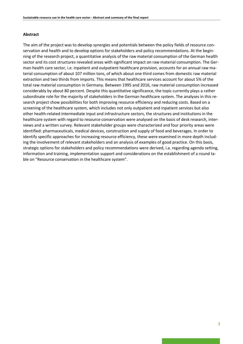#### **Abstract**

The aim of the project was to develop synergies and potentials between the policy fields of resource conservation and health and to develop options for stakeholders and policy recommendations. At the beginning of the research project, a quantitative analysis of the raw material consumption of the German health sector and its cost structures revealed areas with significant impact on raw material consumption. The German health care sector, i.e. inpatient and outpatient healthcare provision, accounts for an annual raw material consumption of about 107 million tons, of which about one third comes from domestic raw material extraction and two thirds from imports. This means that healthcare services account for about 5% of the total raw material consumption in Germany. Between 1995 and 2016, raw material consumption increased considerably by about 80 percent. Despite this quantitative significance, the topic currently plays a rather subordinate role for the majority of stakeholders in the German healthcare system. The analyses in this research project show possibilities for both improving resource efficiency and reducing costs. Based on a screening of the healthcare system, which includes not only outpatient and inpatient services but also other health-related intermediate input and infrastructure sectors, the structures and institutions in the healthcare system with regard to resource conservation were analysed on the basis of desk research, interviews and a written survey. Relevant stakeholder groups were characterized and four priority areas were identified: pharmaceuticals, medical devices, construction and supply of food and beverages. In order to identify specific approaches for increasing resource efficiency, these were examined in more depth including the involvement of relevant stakeholders and an analysis of examples of good practice. On this basis, strategic options for stakeholders and policy recommendations were derived, i.a. regarding agenda setting, information and training, implementation support and considerations on the establishment of a round table on "Resource conservation in the healthcare system".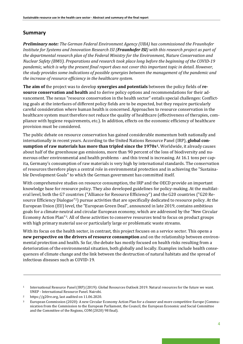# **Summary**

*Preliminary note: The German Federal Environment Agency (UBA) has commissioned the Fraunhofer Institute for Systems and Innovation Research ISI (Fraunhofer ISI) with this research project as part of the departmental research plan of the Federal Ministry for the Environment, Nature Conservation and Nuclear Safety (BMU). Preparations and research took place long before the beginning of the COVID-19 pandemic, which is why the present final report does not cover this important topic in detail. However, the study provides some indications of possible synergies between the management of the pandemic and the increase of resource efficiency in the healthcare system.*

**The aim of** the project was to develop **synergies and potentials** between the policy fields of **resource conservation and health** and to derive policy options and recommendations for their advancement. The nexus "resource conservation in the health sector" entails special challenges: Conflicting goals at the interfaces of different policy fields are to be expected, but they require particularly careful consideration where human health is concerned. Approaches to resource conservation in the healthcare system must therefore not reduce the quality of healthcare (effectiveness of therapies, compliance with hygiene requirements, etc.). In addition, effects on the economic efficiency of healthcare provision must be considered.

The public debate on resource conservation has gained considerable momentum both nationally and internationally in recent years. According to the United Nations Resource Panel (IRP), **global consumption of raw materials has more than tripled since the 1970s[1](#page-5-0).** Worldwide, it already causes about half of the greenhouse gas emissions, more than 90 percent of the loss of biodiversity and numerous other environmental and health problems - and this trend is increasing. At 16.1 tons per capita, Germany's consumption of raw materials is very high by international standards. The conservation of resources therefore plays a central role in environmental protection and in achieving the "Sustainable Development Goals" to which the German government has committed itself.

With comprehensive studies on resource consumption, the IRP and the OECD provide an important knowledge base for resource policy. They also developed guidelines for policy-making. At the multilateral level, both the G7 countries ("Alliance for Resource Efficiency") and the G20 countries ("G20 Resource Efficiency Dialogue"[2\)](#page-5-1) pursue activities that are specifically dedicated to resource policy. At the European Union (EU) level, the "European Green Deal", announced in late 2019, contains ambitious goals for a climate-neutral and circular European economy, which are addressed by the "New Circular Economy Action Plan"[3](#page-5-2). All of these activities to conserve resources tend to focus on product groups with high primary material use or particularly large or problematic waste streams.

With its focus on the health sector, in contrast, this project focuses on a service sector. This opens a **new perspective on the drivers of resource consumption** and on the relationship between environmental protection and health. So far, the debate has mostly focused on health risks resulting from a deterioration of the environmental situation, both globally and locally. Examples include health consequences of climate change and the link between the destruction of natural habitats and the spread of infectious diseases such as COVID-19.

<span id="page-5-0"></span><sup>1</sup> International Resource Panel (IRP) (2019): Global Resources Outlook 2019. Natural resources for the future we want. UNEP - International Resource Panel. Nairobi.

<span id="page-5-1"></span><sup>&</sup>lt;sup>2</sup> https://g20re.org, last audited on 11.06.2020.<br><sup>3</sup> European Commission (2020): A new Circular

<span id="page-5-2"></span><sup>3</sup> European Commission (2020): A new Circular Economy Action Plan for a cleaner and more competitive Europe (Communication from the Commission to the European Parliament, the Council, the European Economic and Social Committee and the Committee of the Regions, COM (2020) 98 final).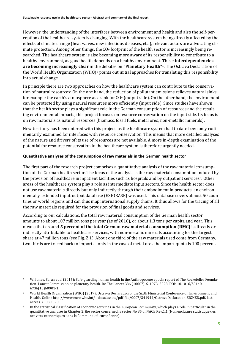However, the understanding of the interfaces between environment and health and also the self-perception of the healthcare system is changing. With the healthcare system being directly affected by the effects of climate change (heat waves, new infectious diseases, etc.), relevant actors are advocating climate protection: Among other things, the  $CO<sub>2</sub>$  footprint of the health sector is increasingly being researched. The healthcare system is also becoming more aware of its responsibility to contribute to a healthy environment, as good health depends on a healthy environment. These **interdependencies are becoming increasingly clear** in t[h](#page-6-1)e debates on **"Planetary Health"**[4.](#page-6-0) The Ostrava Declaration of the World Health Organization (WHO)<sup>5</sup> points out initial approaches for translating this responsibility into actual change.

In principle there are two approaches on how the healthcare system can contribute to the conservation of natural resources: On the one hand, the reduction of pollutant emissions relieves natural sinks, for example the earth's atmosphere as a sink for  $CO<sub>2</sub>$  (output side). On the other hand, the environment can be protected by using natural resources more efficiently (input side). Since studies have shown that the health sector plays a significant role in the German consumption of resources and the resulting environmental impacts, this project focuses on resource conservation on the input side. Its focus is on raw materials as natural resources (biomass, fossil fuels, metal ores, non-metallic minerals).

New territory has been entered with this project, as the healthcare system had to date been only rudimentarily examined for interfaces with resource conservation. This means that more detailed analyses of the nature and drivers of its use of resources are not available. A more in-depth examination of the potential for resource conservation in the healthcare system is therefore urgently needed.

#### **Quantitative analyses of the consumption of raw materials in the German health sector**

The first part of the research project comprises a quantitative analysis of the raw material consumption of the German health sector. The focus of the analysis is the raw material consumption induced by the provision of healthcare in inpatient facilities such as hospitals and by outpatient services<sup>6</sup>. Other areas of the healthcare system play a role as intermediate input sectors. Since the health sector does not use raw materials directly but only indirectly through their embodiment in products, an environmentally-extended input-output database (EXIOBASE) was used. This database covers almost 50 countries or world regions and can thus map international supply chains. It thus allows for the tracing of all the raw materials required for the provision of final goods and services.

According to our calculations, the total raw material consumption of the German health sector amounts to about 107 million tons per year (as of 2016), or about 1.3 tons per capita and year. This means that around **5 percent of the total German raw material consumption (RMC)** is directly or indirectly attributable to healthcare services, with non-metallic minerals accounting for the largest share at 47 million tons (see Fig. Z.1). About one third of the raw materials used come from Germany, two thirds are traced back to imports - only in the case of metal ores the import quota is 100 percent.

<span id="page-6-0"></span><sup>4</sup> Whitmee, Sarah et al (2015): Safe-guarding human health in the Anthropocene epoch: report of The Rockefeller Foundation–Lancet Commission on planetary health. In: The Lancet 386 (10007), S. 1973–2028. DOI: 10.1016/S0140- 6736(15)60901-1.

<span id="page-6-1"></span><sup>5</sup> World Health Organization (WHO) (2017): Ostrava Declaration of the Sixth Ministerial Conference on Environment and Health. Online http://www.euro.who.int/\_\_data/assets/pdf\_file/0007/341944/OstravaDeclaration\_SIGNED.pdf, last access 31.03.2020.

<span id="page-6-2"></span>In the statistical classification of economic activities in the European Community, which plays a role in particular in the quantitative analyses in Chapter 2, the sector concerned is sector No 85 of NACE Rev.1.1 (Nomenclature statistique des activités économiques dans la Communauté européenne).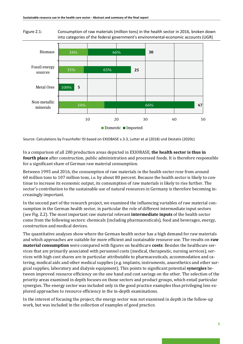Figure Z.1: Consumption of raw materials (million tons) in the health sector in 2016, broken down into categories of the federal government's environmental-economic accounts (UGR)



Source: Calculations by Fraunhofer ISI based on EXIOBASE v.3.3, Lutter et al (2018) und Destatis (2020c)

In a comparison of all 200 production areas depicted in EXIOBASE, **the health sector is thus in fourth place** after construction, public administration and processed foods. It is therefore responsible for a significant share of German raw material consumption.

Between 1995 and 2016, the consumption of raw materials in the health sector rose from around 60 million tons to 107 million tons, i.e. by about 80 percent. Because the health sector is likely to continue to increase its economic output, its consumption of raw materials is likely to rise further. The sector's contribution to the sustainable use of natural resources in Germany is therefore becoming increasingly important.

In the second part of the research project, we examined the influencing variables of raw material consumption in the German health sector, in particular the role of different intermediate input sectors (see Fig. Z.2). The most important raw material relevant **intermediate inputs** of the health sector come from the following sectors: chemicals (including pharmaceuticals), food and beverages, energy, construction and medical devices.

The quantitative analyses show where the German health sector has a high demand for raw materials and which approaches are suitable for more efficient and sustainable resource use. The results on **raw material consumption** were compared with figures on healthcare **costs**: Besides the healthcare services that are primarily associated with personnel costs (medical, therapeutic, nursing services), services with high cost shares are in particular attributable to pharmaceuticals, accommodation and catering, medical aids and other medical supplies (e.g. implants, instruments, anaesthetics and other surgical supplies, laboratory and dialysis equipment). This points to significant potential **synergies** between improved resource efficiency on the one hand and cost savings on the other. The selection of the priority areas examined in depth focuses on those sectors and product groups, which entail particular synergies. The energy sector was included only in the good practice examples thus privileging less explored approaches to resource efficiency in the in-depth examinations.

In the interest of focusing the project, the energy sector was not examined in depth in the follow-up work, but was included in the collection of examples of good practice.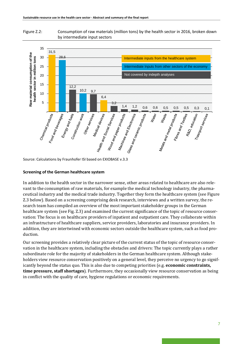



Source: Calculations by Fraunhofer ISI based on EXIOBASE v.3.3

#### **Screening of the German healthcare system**

In addition to the health sector in the narrower sense, other areas related to healthcare are also relevant to the consumption of raw materials, for example the medical technology industry, the pharmaceutical industry and the medical trade industry. Together they form the healthcare system (see Figure Z.3 below). Based on a screening comprising desk research, interviews and a written survey, the research team has compiled an overview of the most important stakeholder groups in the German healthcare system (see Fig. Z.3) and examined the current significance of the topic of resource conservation: The focus is on healthcare providers of inpatient and outpatient care. They collaborate within an infrastructure of healthcare suppliers, service providers, laboratories and insurance providers. In addition, they are intertwined with economic sectors outside the healthcare system, such as food production.

Our screening provides a relatively clear picture of the current status of the topic of resource conservation in the healthcare system, including the obstacles and drivers: The topic currently plays a rather subordinate role for the majority of stakeholders in the German healthcare system. Although stakeholders view resource conservation positively on a general level, they perceive no urgency to go significantly beyond the status quo. This is also due to competing priorities (e.g. **economic constraints, time pressure, staff shortages**). Furthermore, they occasionally view resource conservation as being in conflict with the quality of care, hygiene regulations or economic requirements.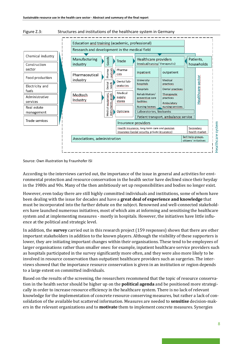

#### Figure Z.3: Structures and institutions of the healthcare system in Germany

Source: Own illustration by Fraunhofer ISI

According to the interviews carried out, the importance of the issue in general and activities for environmental protection and resource conservation in the health sector have declined since their heyday in the 1980s and 90s. Many of the then ambitiously set up responsibilities and bodies no longer exist.

However, even today there are still highly committed individuals and institutions, some of whom have been dealing with the issue for decades and have a **great deal of experience and knowledge** that must be incorporated into the further debate on the subject. Renowned and well-connected stakeholders have launched numerous initiatives, most of which aim at informing and sensitising the healthcare system and at implementing measures - mostly in hospitals. However, the initiatives have little influence at the political and strategic level.

In addition, the **survey** carried out in this research project (159 responses) shows that there are other important stakeholders in addition to the known players. Although the visibility of these supporters is lower, they are initiating important changes within their organisations. These tend to be employees of larger organisations rather than smaller ones: for example, inpatient healthcare service providers such as hospitals participated in the survey significantly more often, and they were also more likely to be involved in resource conservation than outpatient healthcare providers such as surgeries. The interviews showed that the importance resource conservation is given in an institution or region depends to a large extent on committed individuals.

Based on the results of the screening, the researchers recommend that the topic of resource conservation in the health sector should be higher up on the **political agenda** and be positioned more strategically in order to increase resource efficiency in the healthcare system. There is no lack of relevant knowledge for the implementation of concrete resource conserving measures, but rather a lack of consolidation of the available but scattered information. Measures are needed to **sensitise** decision-makers in the relevant organizations and to **motivate** them to implement concrete measures. Synergies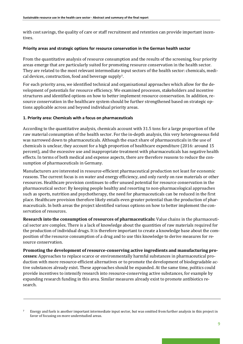with cost savings, the quality of care or staff recruitment and retention can provide important incentives.

#### **Priority areas and strategic options for resource conservation in the German health sector**

From the quantitative analysis of resource consumption and the results of the screening, four priority areas emerge that are particularly suited for promoting resource conservation in the health sector. They are related to the most relevant intermediate input sectors of the health sector: chemicals, medical devices, construction, food and beverage supply[7](#page-10-0).

For each priority area, we identified technical and organisational approaches which allow for the development of potentials for resource efficiency. We examined processes, stakeholders and incentive structures and identified options on how to better implement resource conservation. In addition, resource conservation in the healthcare system should be further strengthened based on strategic options applicable across and beyond individual priority areas.

#### **1. Priority area: Chemicals with a focus on pharmaceuticals**

According to the quantitative analysis, chemicals account with 31.5 tons for a large proportion of the raw material consumption of the health sector. For the in-depth analysis, this very heterogeneous field was narrowed down to pharmaceuticals. Although the exact share of pharmaceuticals in the use of chemicals is unclear, they account for a high proportion of healthcare expenditure (2016: around 15 percent), and the excessive use and inappropriate treatment with pharmaceuticals has negative health effects. In terms of both medical and expense aspects, there are therefore reasons to reduce the consumption of pharmaceuticals in Germany.

Manufacturers are interested in resource-efficient pharmaceutical production not least for economic reasons. The current focus is on water and energy efficiency, and only rarely on raw materials or other resources. Healthcare provision continues to offer unused potential for resource conservation in the pharmaceutical sector: By keeping people healthy and resorting to non-pharmacological approaches such as sports, nutrition and psychotherapy, the need for pharmaceuticals can be reduced in the first place. Healthcare provision therefore likely entails even greater potential than the production of pharmaceuticals. In both areas the project identified various options on how to better implement the conservation of resources.

**Research into the consumption of resources of pharmaceuticals:** Value chains in the pharmaceutical sector are complex. There is a lack of knowledge about the quantities of raw materials required for the production of individual drugs. It is therefore important to create a knowledge base about the composition of the resource consumption of a drug and to use this knowledge to derive measures for resource conservation.

**Promoting the development of resource-conserving active ingredients and manufacturing processes:** Approaches to replace scarce or environmentally harmful substances in pharmaceutical production with more resource-efficient alternatives or to promote the development of biodegradable active substances already exist. These approaches should be expanded. At the same time, politics could provide incentives to intensify research into resource-conserving active substances, for example by expanding research funding in this area. Similar measures already exist to promote antibiotics research.

<span id="page-10-0"></span><sup>7</sup> Energy and fuels is another important intermediate input sector, but was omitted from further analysis in this project in favor of focusing on more understudied areas.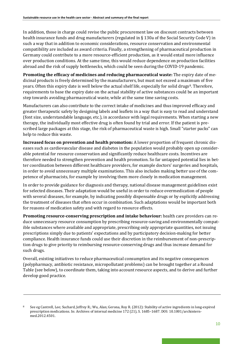In addition, those in charge could revise the public procurement law on discount contracts between health insurance funds and drug manufacturers (regulated in § 130a of the Social Security Code V) in such a way that in addition to economic considerations, resource conservation and environmental compatibility are included as award criteria. Finally, a strengthening of pharmaceutical production in Germany could contribute to a more resource-efficient production, as it would entail more influence over production conditions. At the same time, this would reduce dependence on production facilities abroad and the risk of supply bottlenecks, which could be seen during the COVID-19 pandemic.

**Promoting the efficacy of medicines and reducing pharmaceutical waste:** The expiry date of medicinal products is freely determined by the manufacturers, but must not exceed a maximum of five years. Often this expiry date is well below the actual shelf life, especially for solid drugs<sup>[8](#page-11-0)</sup>. Therefore, requirements to base the expiry date on the actual stability of active substances could be an important step towards avoiding pharmaceutical waste, while at the same time saving costs.

Manufacturers can also contribute to the correct intake of medicines and thus improved efficacy and greater therapeutic safety by designing labels and leaflets in a way that is easy to read and understand (font size, understandable language, etc.), in accordance with legal requirements. When starting a new therapy, the individually most effective drug is often found by trial and error. If the patient is prescribed large packages at this stage, the risk of pharmaceutical waste is high. Small "starter packs" can help to reduce this waste.

**Increased focus on prevention and health promotion:** A lower proportion of frequent chronic diseases such as cardiovascular disease and diabetes in the population would probably open up considerable potential for resource conservation and significantly reduce healthcare costs. Incentives are therefore needed to strengthen prevention and health promotion. So far untapped potential lies in better coordination between different healthcare providers, for example doctors' surgeries and hospitals, in order to avoid unnecessary multiple examinations. This also includes making better use of the competence of pharmacists, for example by involving them more closely in medication management.

In order to provide guidance for diagnosis and therapy, national disease management guidelines exist for selected diseases. Their adaptation would be useful in order to reduce overmedication of people with several diseases, for example, by indicating possibly dispensable drugs or by explicitly addressing the treatment of diseases that often occur in combination. Such adaptations would be important both for reasons of medication safety and with regard to resource effects.

**Promoting resource-conserving prescription and intake behaviour:** health care providers can reduce unnecessary resource consumption by prescribing resource-saving and environmentally compatible substances where available and appropriate, prescribing only appropriate quantities, not issuing prescriptions simply due to patients' expectations and by participatory decision-making for better compliance. Health insurance funds could use their discretion in the reimbursement of non-prescription drugs to give priority to reimbursing resource-conserving drugs and thus increase demand for such drugs.

Overall, existing initiatives to reduce pharmaceutical consumption and its negative consequences (polypharmacy, antibiotic resistance, micropollutant problems) can be brought together at a Round Table (see below), to coordinate them, taking into account resource aspects, and to derive and further develop good practice.

<span id="page-11-0"></span><sup>8</sup> See eg Cantrell, Lee; Suchard, Jeffrey R.; Wu, Alan; Gerona, Roy R. (2012): Stability of active ingredients in long-expired prescription medications. In: Archives of internal medicine 172 (21), S. 1685–1687. DOI: 10.1001/archinternmed.2012.4501.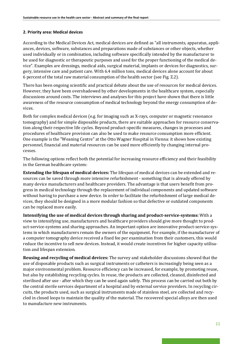#### **2. Priority area: Medical devices**

According to the Medical Devices Act, medical devices are defined as "all instruments, apparatus, appliances, devices, software, substances and preparations made of substances or other objects, whether used individually or in combination, including software specifically intended by the manufacturer to be used for diagnostic or therapeutic purposes and used for the proper functioning of the medical device". Examples are dressings, medical aids, surgical material, implants or devices for diagnostics, surgery, intensive care and patient care. With 6.4 million tons, medical devices alone account for about 6 percent of the total raw material consumption of the health sector (see Fig. Z.2).

There has been ongoing scientific and practical debate about the use of resources for medical devices. However, they have been overshadowed by other developments in the healthcare system, especially discussions around costs. The interviews and analyses for this project have shown that there is little awareness of the resource consumption of medical technology beyond the energy consumption of devices.

Both for complex medical devices (e.g. for imaging such as X-rays, computer or magnetic resonance tomography) and for simple disposable products, there are suitable approaches for resource conservation along their respective life cycles. Beyond product-specific measures, changes in processes and procedures of healthcare provision can also be used to make resource consumption more efficient. One example is the "Weaning Centre" at the Otto Wagner Hospital in Vienna: it shows how existing personnel, financial and material resources can be used more efficiently by changing internal processes.

The following options reflect both the potential for increasing resource efficiency and their feasibility in the German healthcare system:

**Extending the lifespan of medical devices:** The lifespan of medical devices can be extended and resources can be saved through more intensive refurbishment - something that is already offered by many device manufacturers and healthcare providers. The advantage is that users benefit from progress in medical technology through the replacement of individual components and updated software without having to purchase a new device. In order to facilitate the refurbishment of large medical devices, they should be designed in a more modular fashion so that defective or outdated components can be replaced more easily.

**Intensifying the use of medical devices through sharing and product-service-systems:** With a view to intensifying use, manufacturers and healthcare providers should give more thought to product-service-systems and sharing approaches. An important option are innovative product-service-systems in which manufacturers remain the owners of the equipment. For example, if the manufacturer of a computer tomography device received a fixed fee per examination from their customers, this would reduce the incentive to sell new devices. Instead, it would create incentives for higher capacity utilisation and lifespan extension.

**Reusing and recycling of medical devices:** The survey and stakeholder discussions showed that the use of disposable products such as surgical instruments or catheters is increasingly being seen as a major environmental problem. Resource efficiency can be increased, for example, by promoting reuse, but also by establishing recycling cycles. In reuse, the products are collected, cleaned, disinfected and sterilised after use - after which they can be used again safely. This process can be carried out both by the central sterile services department of a hospital and by external service providers. In recycling circuits, the products used, such as surgical instruments made of stainless steel, are collected and recycled in closed loops to maintain the quality of the material. The recovered special alloys are then used to manufacture new instruments.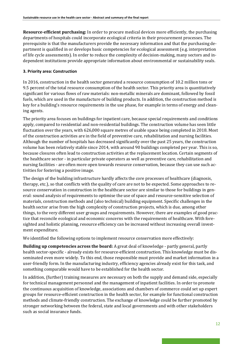**Resource-efficient purchasing:** In order to procure medical devices more efficiently, the purchasing departments of hospitals could incorporate ecological criteria in their procurement processes. The prerequisite is that the manufacturers provide the necessary information and that the purchasing department is qualified in or develops basic competencies for ecological assessment (e.g. interpretation of life cycle assessments). In order to reduce the complexity of decision-making, many sectors and independent institutions provide appropriate information about environmental or sustainability seals.

## **3. Priority area: Construction**

In 2016, construction in the health sector generated a resource consumption of 10.2 million tons or 9.5 percent of the total resource consumption of the health sector. This priority area is quantitatively significant for various flows of raw materials: non-metallic minerals are dominant, followed by fossil fuels, which are used in the manufacture of building products. In addition, the construction method is key for a building's resource requirements in the use phase, for example in terms of energy and cleaning agents.

The priority area focuses on buildings for inpatient care, because special requirements and conditions apply, compared to residential and non-residential buildings. The construction volume has seen little fluctuation over the years, with 626,000 square metres of usable space being completed in 2018. Most of the construction activities are in the field of preventive care, rehabilitation and nursing facilities. Although the number of hospitals has decreased significantly over the past 25 years, the construction volume has been relatively stable since 2014, with around 90 buildings completed per year. This is so, because closures often lead to construction activities at the replacement location. Certain segments of the healthcare sector - in particular private operators as well as preventive care, rehabilitation and nursing facilities - are often more open towards resource conservation, because they can use such activities for fostering a positive image.

The design of the building infrastructure hardly affects the core processes of healthcare (diagnosis, therapy, etc.), so that conflicts with the quality of care are not to be expected. Some approaches to resource conservation in construction in the healthcare sector are similar to those for buildings in general: sound analysis of requirements to optimise the use of space and resource-sensitive selection of materials, construction methods and (also technical) building equipment. Specific challenges in the health sector arise from the high complexity of construction projects, which is due, among other things, to the very different user groups and requirements. However, there are examples of good practice that reconcile ecological and economic concerns with the requirements of healthcare. With foresighted and holistic planning, resource efficiency can be increased without increasing overall investment expenditure.

We identified the following options to implement resource conservation more effectively:

**Building up competencies across the board:** A great deal of knowledge - partly general, partly health sector-specific - already exists for resource-efficient construction. This knowledge must be disseminated even more widely. To this end, those responsible must provide and market information in a user-friendly form. In the manufacturing industry, efficiency agencies already exist for this task, and something comparable would have to be established for the health sector.

In addition, (further) training measures are necessary on both the supply and demand side, especially for technical management personnel and the management of inpatient facilities. In order to promote the continuous acquisition of knowledge, associations and chambers of commerce could set up expert groups for resource-efficient construction in the health sector, for example for functional construction methods and climate-friendly construction. The exchange of knowledge could be further promoted by stronger networking between the federal, state and local governments and with other stakeholders such as social insurance funds.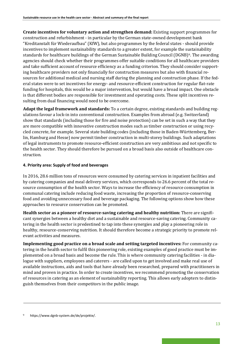**Create incentives for voluntary action and strengthen demand:** Existing support programmes for construction and refurbishment - in particular by the German state-owned development bank "Kreditanstalt für Wiederaufbau" (KfW), but also programmes by the federal states - should provide incentives to implement sustainability standards to a greater extent, for example the sustainability standards for healthcare buildings of the German Sustainable Building Council (DGNB[\)9](#page-14-0). The awarding agencies should check whether their programmes offer suitable conditions for all healthcare providers and take sufficient account of resource efficiency as a funding criterion. They should consider supporting healthcare providers not only financially for construction measures but also with financial resources for additional medical and nursing staff during the planning and construction phase. If the federal states were to set incentives for energy- and resource-efficient construction for regular flat-rate funding for hospitals, this would be a major intervention, but would have a broad impact. One obstacle is that different bodies are responsible for investment and operating costs. These split incentives resulting from dual financing would need to be overcome.

**Adapt the legal framework and standards:** To a certain degree, existing standards and building regulations favour a lock-in into conventional construction. Examples from abroad (e.g. Switzerland) show that standards (including those for fire and noise protection) can be set in such a way that they are more compatible with innovative construction modes such as timber construction or using recycled concrete, for example. Several state building codes (including those in Baden-Württemberg, Berlin, Hamburg and Hesse) now permit timber construction in multi-storey buildings. Such adaptations of legal instruments to promote resource-efficient construction are very ambitious and not specific to the health sector. They should therefore be pursued on a broad basis also outside of healthcare construction.

#### **4. Priority area: Supply of food and beverages**

In 2016, 28.6 million tons of resources were consumed by catering services in inpatient facilities and by catering companies and meal delivery services, which corresponds to 26.6 percent of the total resource consumption of the health sector. Ways to increase the efficiency of resource consumption in communal catering include reducing food waste, increasing the proportion of resource-conserving food and avoiding unnecessary food and beverage packaging. The following options show how these approaches to resource conservation can be promoted.

**Health sector as a pioneer of resource-saving catering and healthy nutrition:** There are significant synergies between a healthy diet and a sustainable and resource-saving catering. Community catering in the health sector is predestined to tap into these synergies and play a pioneering role in healthy, resource-conserving nutrition. It should therefore become a strategic priority to promote relevant activities and measures.

**Implementing good practice on a broad scale and setting targeted incentives:** For community catering in the health sector to fulfil this pioneering role, existing examples of good practice must be implemented on a broad basis and become the rule. This is where community catering facilities - in dialogue with suppliers, employees and caterers - are called upon to get involved and make real use of available instructions, aids and tools that have already been researched, prepared with practitioners in mind and proven in practice. In order to create incentives, we recommend promoting the conservation of resources in catering as an element of sustainability reporting. This allows early adopters to distinguish themselves from their competitors in the public image.

<span id="page-14-0"></span>https://www.dgnb-system.de/de/projekte/.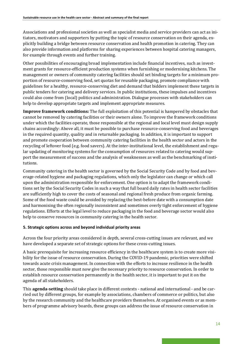Associations and professional societies as well as specialist media and service providers can act as initiators, motivators and supporters by putting the topic of resource conservation on their agenda, explicitly building a bridge between resource conservation and health promotion in catering. They can also provide information and platforms for sharing experiences between hospital catering managers, for example through events and further training.

Other possibilities of encouraging broad implementation include financial incentives, such as investment grants for resource-efficient production systems when furnishing or modernising kitchens. The management or owners of community catering facilities should set binding targets for a minimum proportion of resource-conserving food, set quotas for reusable packaging, promote compliance with guidelines for a healthy, resource-conserving diet and demand that bidders implement these targets in public tenders for catering and delivery services. In public institutions, these impulses and incentives could also come from (local) politics and administration. Dialogue processes with stakeholders can help to develop appropriate targets and implement appropriate measures.

**Improve framework conditions:** The full exploitation of this potential is hampered by obstacles that cannot be removed by catering facilities or their owners alone. To improve the framework conditions under which the facilities operate, those responsible at the regional and local level must design supply chains accordingly: Above all, it must be possible to purchase resource-conserving food and beverages in the required quantity, quality and in returnable packaging. In addition, it is important to support and promote cooperation between community catering facilities in the health sector and actors in the recycling of leftover food (e.g. food savers). At the inter-institutional level, the establishment and regular updating of monitoring systems for the consumption of resources related to catering would support the measurement of success and the analysis of weaknesses as well as the benchmarking of institutions.

Community catering in the health sector is governed by the Social Security Code and by food and beverage-related hygiene and packaging regulations, which only the legislator can change or which call upon the administration responsible for enforcement. One option is to adapt the framework conditions set by the Social Security Codes in such a way that full board daily rates in health sector facilities are sufficiently high to cover the costs of seasonal and regional fresh produce from organic farming. Some of the food waste could be avoided by replacing the best-before date with a consumption date and harmonising the often regionally inconsistent and sometimes overly tight enforcement of hygiene regulations. Efforts at the legal level to reduce packaging in the food and beverage sector would also help to conserve resources in community catering in the health sector.

# **5. Strategic options across and beyond individual priority areas**

Across the four priority areas considered in depth, several cross-cutting issues are relevant, and we have developed a separate set of strategic options for these cross-cutting issues.

A basic prerequisite for increasing resource efficiency in the healthcare system is to create more visibility for the issue of resource conservation. During the COVID-19 pandemic, priorities were shifted towards acute crisis management. In connection with the efforts to increase resilience in the health sector, those responsible must now give the necessary priority to resource conservation. In order to establish resource conservation permanently in the health sector, it is important to put it on the agenda of all stakeholders.

This **agenda-setting** should take place in different contexts - national and international - and be carried out by different groups, for example by associations, chambers of commerce or politics, but also by the research community and the healthcare providers themselves. At organised events or as members of programme advisory boards, these groups can address the issue of resource conservation in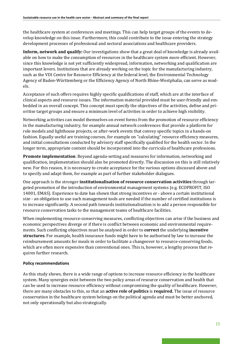the healthcare system at conferences and meetings. This can help target groups of the events to develop knowledge on this issue. Furthermore, this could contribute to the issue entering the strategy development processes of professional and sectoral associations and healthcare providers.

**Inform, network and qualify:** Our investigations show that a great deal of knowledge is already available on how to make the consumption of resources in the healthcare system more efficient. However, since this knowledge is not yet sufficiently widespread, information, networking and qualification are important levers. Institutions that are already working on the topic for the manufacturing industry, such as the VDI Centre for Resource Efficiency at the federal level, the Environmental Technology Agency of Baden-Württemberg or the Efficiency Agency of North Rhine-Westphalia, can serve as models.

Acceptance of such offers requires highly specific qualifications of staff, which are at the interface of clinical aspects and resource issues. The information material provided must be user-friendly and embedded in an overall concept. This concept must specify the objectives of the activities, define and prioritise target groups and ensure a minimum level of activities in order to achieve high visibility.

Networking activities can model themselves on event forms from the promotion of resource efficiency in the manufacturing industry, for example annual network conferences that provide a platform for role models and lighthouse projects, or after-work events that convey specific topics in a hands-on fashion. Equally useful are training courses, for example on "calculating" resource efficiency measures, and initial consultations conducted by advisory staff specifically qualified for the health sector. In the longer term, appropriate content should be incorporated into the curricula of healthcare professions.

**Promote implementation**: Beyond agenda-setting and measures for information, networking and qualification, implementation should also be promoted directly. The discussion on this is still relatively new. For this reason, it is necessary to create acceptance for the various options discussed above and to specify and adapt them, for example as part of further stakeholder dialogues.

One approach is the stronger **institutionalisation of resource conservation activities** through targeted promotion of the introduction of environmental management systems (e.g. ECOPROFIT, ISO 14001, EMAS). Experience to date has shown that strong incentives or - above a certain institutional size - an obligation to use such management tools are needed if the number of certified institutions is to increase significantly. A second path towards institutionalisation is to add a person responsible for resource conservation tasks to the management teams of healthcare facilities.

When implementing resource-conserving measures, conflicting objectives can arise if the business and economic perspectives diverge or if there is conflict between economic and environmental requirements. Such conflicting objectives must be analysed in order to **correct** the underlying **incentive structures**. For example, health insurance funds might have to be authorised by law to increase the reimbursement amounts for meals in order to facilitate a changeover to resource-conserving foods, which are often more expensive than conventional ones. This is, however, a lengthy process that requires further research.

### **Policy recommendations**

As this study shows, there is a wide range of options to increase resource efficiency in the healthcare system. Many synergies exist between the two policy areas of resource conservation and health that can be used to increase resource efficiency without compromising the quality of healthcare. However, there are many obstacles to this, so that an **active role of politics** is **required.** The issue of resource conservation in the healthcare system belongs on the political agenda and must be better anchored, not only operationally but also strategically.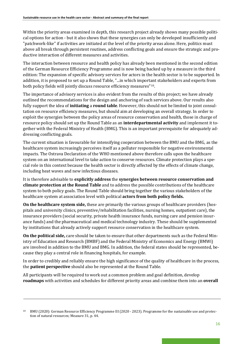Within the priority areas examined in depth, this research project already shows many possible political options for action - but it also shows that these synergies can only be developed insufficiently and "patchwork-like" if activities are initiated at the level of the priority areas alone. Here, politics must above all break through persistent routines, address conflicting goals and ensure the strategic and productive interaction of different measures and activities.

The interaction between resource and health policy has already been mentioned in the second edition of the German Resource Efficiency Programme and is now being backed up by a measure in the third edition: The expansion of specific advisory services for actors in the health sector is to be supported. In addition, it is proposed to set up a Round Table, "...in which important stakeholders and experts from both policy fields will jointly discuss resource efficiency measures"[10.](#page-17-0)

The importance of advisory services is also evident from the results of this project; we have already outlined the recommendations for the design and anchoring of such services above. Our results also fully support the idea of **initiating** a **round table**. However, this should not be limited to joint consultation on resource efficiency measures, but should aim at developing an overall strategy. In order to exploit the synergies between the policy areas of resource conservation and health, those in charge of resource policy should set up the Round Table as an **interdepartmental activity** and implement it together with the Federal Ministry of Health (BMG). This is an important prerequisite for adequately addressing conflicting goals.

The current situation is favourable for intensifying cooperation between the BMU and the BMG, as the healthcare system increasingly perceives itself as a polluter responsible for negative environmental impacts. The Ostrava Declaration of the WHO mentioned above therefore calls upon the healthcare system on an international level to take action to conserve resources. Climate protection plays a special role in this context because the health sector is directly affected by the effects of climate change, including heat waves and new infectious diseases.

It is therefore advisable to **explicitly address** the **synergies between resource conservation and climate protection at the Round Table** and to address the possible contributions of the healthcare system to both policy goals. The Round Table should bring together the various stakeholders of the healthcare system at association level with political **actors from both policy fields.** 

**On the healthcare system side,** these are primarily the various groups of healthcare providers (hospitals and university clinics, preventive/rehabilitation facilities, nursing homes, outpatient care), the insurance providers (social security, private health insurance funds, nursing care and pension insurance funds) and the pharmaceutical and medical technology industry. These should be supplemented by institutions that already actively support resource conservation in the healthcare system.

**On the political side,** care should be taken to ensure that other departments such as the Federal Ministry of Education and Research (BMBF) and the Federal Ministry of Economics and Energy (BMWi) are involved in addition to the BMU and BMG. In addition, the federal states should be represented, because they play a central role in financing hospitals, for example.

In order to credibly and reliably ensure the high significance of the quality of healthcare in the process, the **patient perspective** should also be represented at the Round Table.

All participants will be required to work out a common problem and goal definition, develop **roadmaps** with activities and schedules for different priority areas and combine them into an **overall** 

<span id="page-17-0"></span><sup>10</sup> BMU (2020): German Resource Efficiency Programme III (2020 - 2023). Programme for the sustainable use and protection of natural resources; Measure 31, p. 44.